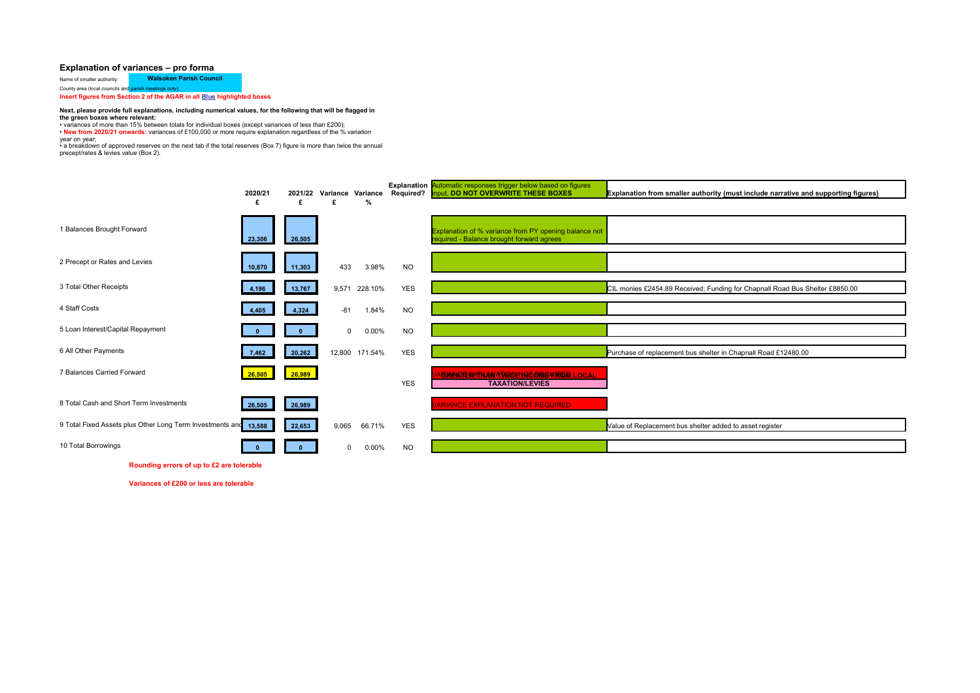## **Explanation of variances – pro forma**

Name of smaller authority: **Walsoken Parish Council** County area (local councils and parish meetings only):

**Insert figures from Section 2 of the AGAR in all Blue highlighted boxes** 

## **Next, please provide full explanations, including numerical values, for the following that will be flagged in**

**the green boxes where relevant:** • variances of more than 15% between totals for individual boxes (except variances of less than £200);

• **New from 2020/21 onwards:** variances of £100,000 or more require explanation regardless of the % variation

year on year; • a breakdown of approved reserves on the next tab if the total reserves (Box 7) figure is more than twice the annual

precept/rates & levies value (Box 2).

|                                                           | 2020/21<br>£ | 2021/22<br>£ | £              | Variance Variance<br>% |            | <b>Explanation</b> Automatic responses trigger below based on figures<br>Required? Input, DO NOT OVERWRITE THESE BOXES | Explanation from smaller authority (must include narrative and supporting figures) |
|-----------------------------------------------------------|--------------|--------------|----------------|------------------------|------------|------------------------------------------------------------------------------------------------------------------------|------------------------------------------------------------------------------------|
| 1 Balances Brought Forward                                | 23,306       | 26,505       |                |                        |            | Explanation of % variance from PY opening balance not<br>equired - Balance brought forward agrees                      |                                                                                    |
| 2 Precept or Rates and Levies                             | 10,870       | 11,303       | 433            | 3.98%                  | <b>NO</b>  |                                                                                                                        |                                                                                    |
| 3 Total Other Receipts                                    | 4,196        | 13,767       | 9.571          | 228.10%                | <b>YES</b> |                                                                                                                        | CIL monies £2454.89 Received; Funding for Chapnall Road Bus Shelter £8850.00       |
| 4 Staff Costs                                             | 4,405        | 4,324        | $-81$          | 1.84%                  | <b>NO</b>  |                                                                                                                        |                                                                                    |
| 5 Loan Interest/Capital Repayment                         |              |              | $\mathbf{0}$   | 0.00%                  | <b>NO</b>  |                                                                                                                        |                                                                                    |
| 6 All Other Payments                                      | 7,462        | 20,262       |                | 12,800 171.54%         | <b>YES</b> |                                                                                                                        | Purchase of replacement bus shelter in Chapnall Road £12480.00                     |
| 7 Balances Carried Forward                                | 26,505       | 26,989       |                |                        | <b>YES</b> | <b>BRAKTER THAN TWINE NO OFFICIOL LOCAL</b><br><b>TAXATION/LEVIES</b>                                                  |                                                                                    |
| 8 Total Cash and Short Term Investments                   | 26,505       | 26,989       |                |                        |            | <b>ARIANCE EXPLANATION NOT REQUIRED</b>                                                                                |                                                                                    |
| 9 Total Fixed Assets plus Other Long Term Investments and | 13,588       | 22,653       | 9,065          | 66.71%                 | <b>YES</b> |                                                                                                                        | Value of Replacement bus shelter added to asset register                           |
| 10 Total Borrowings                                       |              |              | $\overline{0}$ | 0.00%                  | <b>NO</b>  |                                                                                                                        |                                                                                    |
| Rounding errors of up to £2 are tolerable                 |              |              |                |                        |            |                                                                                                                        |                                                                                    |

**Variances of £200 or less are tolerable**